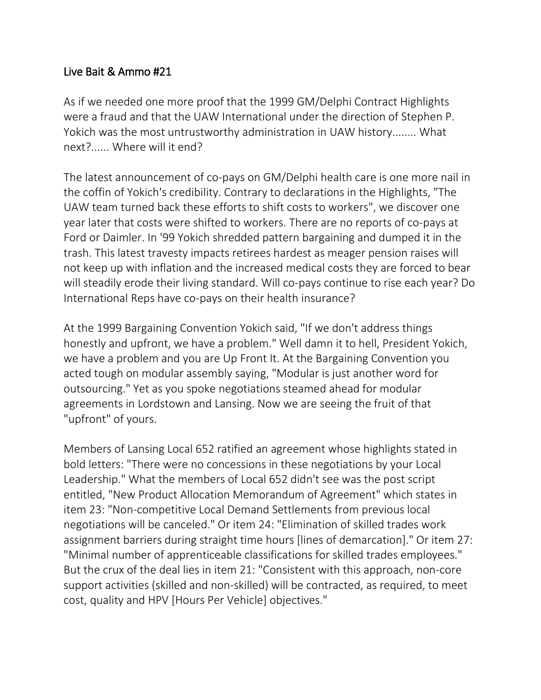## Live Bait & Ammo #21

As if we needed one more proof that the 1999 GM/Delphi Contract Highlights were a fraud and that the UAW International under the direction of Stephen P. Yokich was the most untrustworthy administration in UAW history........ What next?...... Where will it end?

The latest announcement of co-pays on GM/Delphi health care is one more nail in the coffin of Yokich's credibility. Contrary to declarations in the Highlights, "The UAW team turned back these efforts to shift costs to workers", we discover one year later that costs were shifted to workers. There are no reports of co-pays at Ford or Daimler. In '99 Yokich shredded pattern bargaining and dumped it in the trash. This latest travesty impacts retirees hardest as meager pension raises will not keep up with inflation and the increased medical costs they are forced to bear will steadily erode their living standard. Will co-pays continue to rise each year? Do International Reps have co-pays on their health insurance?

At the 1999 Bargaining Convention Yokich said, "If we don't address things honestly and upfront, we have a problem." Well damn it to hell, President Yokich, we have a problem and you are Up Front It. At the Bargaining Convention you acted tough on modular assembly saying, "Modular is just another word for outsourcing." Yet as you spoke negotiations steamed ahead for modular agreements in Lordstown and Lansing. Now we are seeing the fruit of that "upfront" of yours.

Members of Lansing Local 652 ratified an agreement whose highlights stated in bold letters: "There were no concessions in these negotiations by your Local Leadership." What the members of Local 652 didn't see was the post script entitled, "New Product Allocation Memorandum of Agreement" which states in item 23: "Non-competitive Local Demand Settlements from previous local negotiations will be canceled." Or item 24: "Elimination of skilled trades work assignment barriers during straight time hours [lines of demarcation]." Or item 27: "Minimal number of apprenticeable classifications for skilled trades employees." But the crux of the deal lies in item 21: "Consistent with this approach, non-core support activities (skilled and non-skilled) will be contracted, as required, to meet cost, quality and HPV [Hours Per Vehicle] objectives."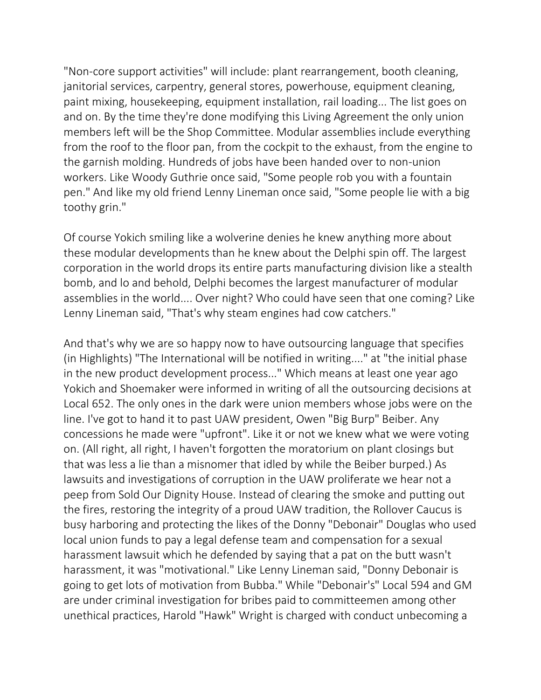"Non-core support activities" will include: plant rearrangement, booth cleaning, janitorial services, carpentry, general stores, powerhouse, equipment cleaning, paint mixing, housekeeping, equipment installation, rail loading... The list goes on and on. By the time they're done modifying this Living Agreement the only union members left will be the Shop Committee. Modular assemblies include everything from the roof to the floor pan, from the cockpit to the exhaust, from the engine to the garnish molding. Hundreds of jobs have been handed over to non-union workers. Like Woody Guthrie once said, "Some people rob you with a fountain pen." And like my old friend Lenny Lineman once said, "Some people lie with a big toothy grin."

Of course Yokich smiling like a wolverine denies he knew anything more about these modular developments than he knew about the Delphi spin off. The largest corporation in the world drops its entire parts manufacturing division like a stealth bomb, and lo and behold, Delphi becomes the largest manufacturer of modular assemblies in the world.... Over night? Who could have seen that one coming? Like Lenny Lineman said, "That's why steam engines had cow catchers."

And that's why we are so happy now to have outsourcing language that specifies (in Highlights) "The International will be notified in writing...." at "the initial phase in the new product development process..." Which means at least one year ago Yokich and Shoemaker were informed in writing of all the outsourcing decisions at Local 652. The only ones in the dark were union members whose jobs were on the line. I've got to hand it to past UAW president, Owen "Big Burp" Beiber. Any concessions he made were "upfront". Like it or not we knew what we were voting on. (All right, all right, I haven't forgotten the moratorium on plant closings but that was less a lie than a misnomer that idled by while the Beiber burped.) As lawsuits and investigations of corruption in the UAW proliferate we hear not a peep from Sold Our Dignity House. Instead of clearing the smoke and putting out the fires, restoring the integrity of a proud UAW tradition, the Rollover Caucus is busy harboring and protecting the likes of the Donny "Debonair" Douglas who used local union funds to pay a legal defense team and compensation for a sexual harassment lawsuit which he defended by saying that a pat on the butt wasn't harassment, it was "motivational." Like Lenny Lineman said, "Donny Debonair is going to get lots of motivation from Bubba." While "Debonair's" Local 594 and GM are under criminal investigation for bribes paid to committeemen among other unethical practices, Harold "Hawk" Wright is charged with conduct unbecoming a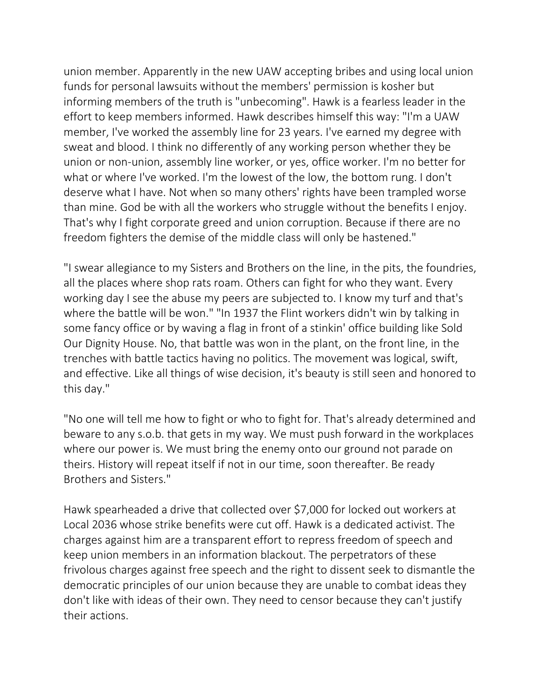union member. Apparently in the new UAW accepting bribes and using local union funds for personal lawsuits without the members' permission is kosher but informing members of the truth is "unbecoming". Hawk is a fearless leader in the effort to keep members informed. Hawk describes himself this way: "I'm a UAW member, I've worked the assembly line for 23 years. I've earned my degree with sweat and blood. I think no differently of any working person whether they be union or non-union, assembly line worker, or yes, office worker. I'm no better for what or where I've worked. I'm the lowest of the low, the bottom rung. I don't deserve what I have. Not when so many others' rights have been trampled worse than mine. God be with all the workers who struggle without the benefits I enjoy. That's why I fight corporate greed and union corruption. Because if there are no freedom fighters the demise of the middle class will only be hastened."

"I swear allegiance to my Sisters and Brothers on the line, in the pits, the foundries, all the places where shop rats roam. Others can fight for who they want. Every working day I see the abuse my peers are subjected to. I know my turf and that's where the battle will be won." "In 1937 the Flint workers didn't win by talking in some fancy office or by waving a flag in front of a stinkin' office building like Sold Our Dignity House. No, that battle was won in the plant, on the front line, in the trenches with battle tactics having no politics. The movement was logical, swift, and effective. Like all things of wise decision, it's beauty is still seen and honored to this day."

"No one will tell me how to fight or who to fight for. That's already determined and beware to any s.o.b. that gets in my way. We must push forward in the workplaces where our power is. We must bring the enemy onto our ground not parade on theirs. History will repeat itself if not in our time, soon thereafter. Be ready Brothers and Sisters."

Hawk spearheaded a drive that collected over \$7,000 for locked out workers at Local 2036 whose strike benefits were cut off. Hawk is a dedicated activist. The charges against him are a transparent effort to repress freedom of speech and keep union members in an information blackout. The perpetrators of these frivolous charges against free speech and the right to dissent seek to dismantle the democratic principles of our union because they are unable to combat ideas they don't like with ideas of their own. They need to censor because they can't justify their actions.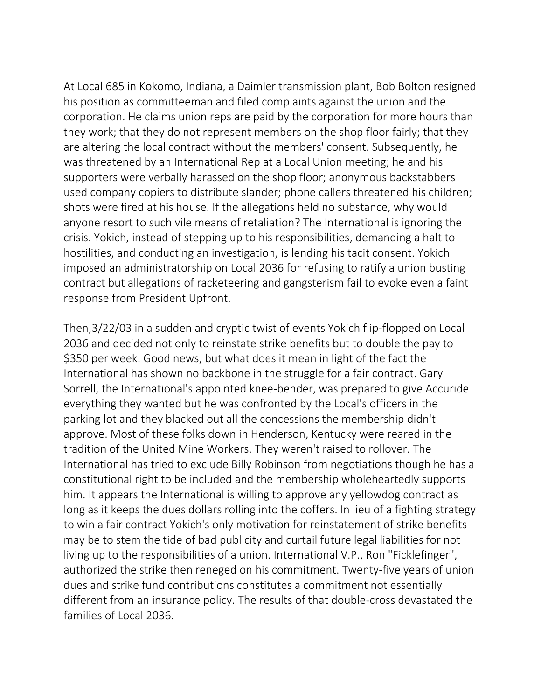At Local 685 in Kokomo, Indiana, a Daimler transmission plant, Bob Bolton resigned his position as committeeman and filed complaints against the union and the corporation. He claims union reps are paid by the corporation for more hours than they work; that they do not represent members on the shop floor fairly; that they are altering the local contract without the members' consent. Subsequently, he was threatened by an International Rep at a Local Union meeting; he and his supporters were verbally harassed on the shop floor; anonymous backstabbers used company copiers to distribute slander; phone callers threatened his children; shots were fired at his house. If the allegations held no substance, why would anyone resort to such vile means of retaliation? The International is ignoring the crisis. Yokich, instead of stepping up to his responsibilities, demanding a halt to hostilities, and conducting an investigation, is lending his tacit consent. Yokich imposed an administratorship on Local 2036 for refusing to ratify a union busting contract but allegations of racketeering and gangsterism fail to evoke even a faint response from President Upfront.

Then,3/22/03 in a sudden and cryptic twist of events Yokich flip-flopped on Local 2036 and decided not only to reinstate strike benefits but to double the pay to \$350 per week. Good news, but what does it mean in light of the fact the International has shown no backbone in the struggle for a fair contract. Gary Sorrell, the International's appointed knee-bender, was prepared to give Accuride everything they wanted but he was confronted by the Local's officers in the parking lot and they blacked out all the concessions the membership didn't approve. Most of these folks down in Henderson, Kentucky were reared in the tradition of the United Mine Workers. They weren't raised to rollover. The International has tried to exclude Billy Robinson from negotiations though he has a constitutional right to be included and the membership wholeheartedly supports him. It appears the International is willing to approve any yellowdog contract as long as it keeps the dues dollars rolling into the coffers. In lieu of a fighting strategy to win a fair contract Yokich's only motivation for reinstatement of strike benefits may be to stem the tide of bad publicity and curtail future legal liabilities for not living up to the responsibilities of a union. International V.P., Ron "Ficklefinger", authorized the strike then reneged on his commitment. Twenty-five years of union dues and strike fund contributions constitutes a commitment not essentially different from an insurance policy. The results of that double-cross devastated the families of Local 2036.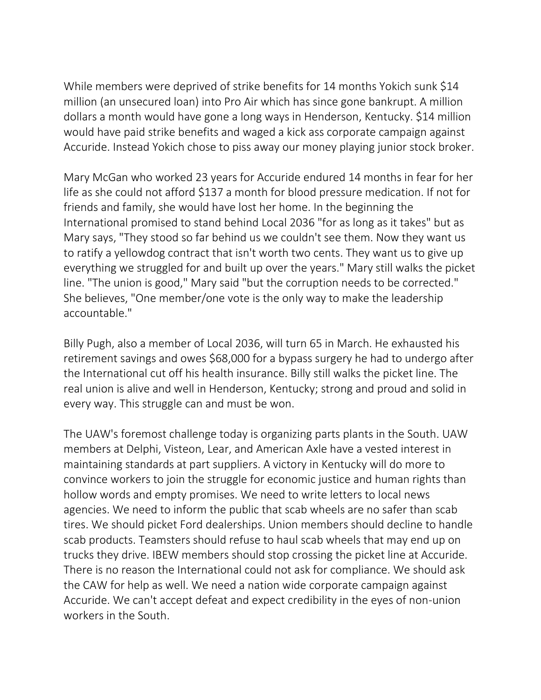While members were deprived of strike benefits for 14 months Yokich sunk \$14 million (an unsecured loan) into Pro Air which has since gone bankrupt. A million dollars a month would have gone a long ways in Henderson, Kentucky. \$14 million would have paid strike benefits and waged a kick ass corporate campaign against Accuride. Instead Yokich chose to piss away our money playing junior stock broker.

Mary McGan who worked 23 years for Accuride endured 14 months in fear for her life as she could not afford \$137 a month for blood pressure medication. If not for friends and family, she would have lost her home. In the beginning the International promised to stand behind Local 2036 "for as long as it takes" but as Mary says, "They stood so far behind us we couldn't see them. Now they want us to ratify a yellowdog contract that isn't worth two cents. They want us to give up everything we struggled for and built up over the years." Mary still walks the picket line. "The union is good," Mary said "but the corruption needs to be corrected." She believes, "One member/one vote is the only way to make the leadership accountable."

Billy Pugh, also a member of Local 2036, will turn 65 in March. He exhausted his retirement savings and owes \$68,000 for a bypass surgery he had to undergo after the International cut off his health insurance. Billy still walks the picket line. The real union is alive and well in Henderson, Kentucky; strong and proud and solid in every way. This struggle can and must be won.

The UAW's foremost challenge today is organizing parts plants in the South. UAW members at Delphi, Visteon, Lear, and American Axle have a vested interest in maintaining standards at part suppliers. A victory in Kentucky will do more to convince workers to join the struggle for economic justice and human rights than hollow words and empty promises. We need to write letters to local news agencies. We need to inform the public that scab wheels are no safer than scab tires. We should picket Ford dealerships. Union members should decline to handle scab products. Teamsters should refuse to haul scab wheels that may end up on trucks they drive. IBEW members should stop crossing the picket line at Accuride. There is no reason the International could not ask for compliance. We should ask the CAW for help as well. We need a nation wide corporate campaign against Accuride. We can't accept defeat and expect credibility in the eyes of non-union workers in the South.